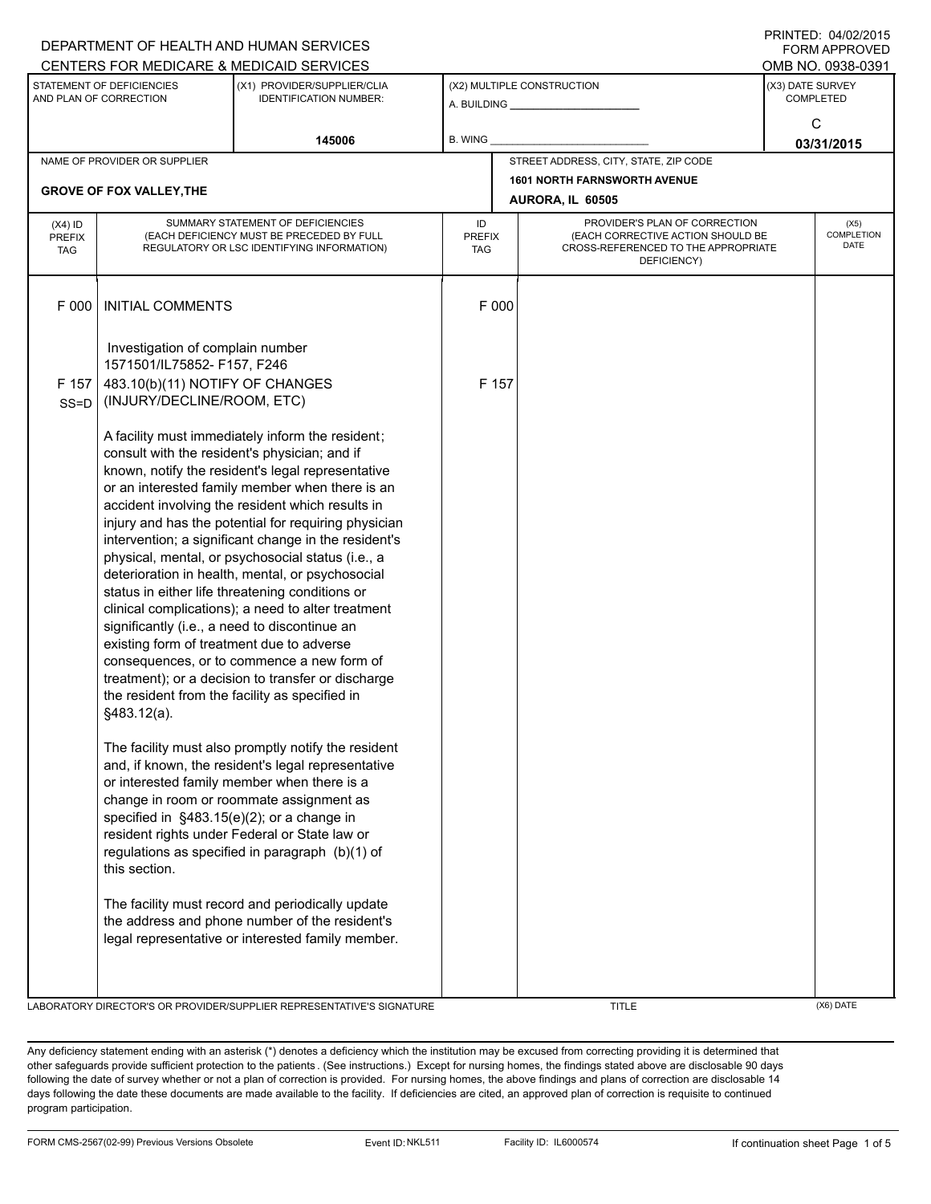|                                                                                                                               |                                                                                                                              | DEPARTMENT OF HEALTH AND HUMAN SERVICES<br>CENTERS FOR MEDICARE & MEDICAID SERVICES                   |                                   |                                       |                                                                                                                          | <b>FORM APPROVED</b><br>OMB NO. 0938-0391 |  |  |
|-------------------------------------------------------------------------------------------------------------------------------|------------------------------------------------------------------------------------------------------------------------------|-------------------------------------------------------------------------------------------------------|-----------------------------------|---------------------------------------|--------------------------------------------------------------------------------------------------------------------------|-------------------------------------------|--|--|
| STATEMENT OF DEFICIENCIES<br>(X1) PROVIDER/SUPPLIER/CLIA<br>AND PLAN OF CORRECTION<br><b>IDENTIFICATION NUMBER:</b><br>145006 |                                                                                                                              |                                                                                                       |                                   | (X2) MULTIPLE CONSTRUCTION            |                                                                                                                          | (X3) DATE SURVEY<br><b>COMPLETED</b>      |  |  |
|                                                                                                                               |                                                                                                                              | B. WING                                                                                               |                                   |                                       | $\mathbf C$<br>03/31/2015                                                                                                |                                           |  |  |
|                                                                                                                               | NAME OF PROVIDER OR SUPPLIER                                                                                                 |                                                                                                       |                                   | STREET ADDRESS, CITY, STATE, ZIP CODE |                                                                                                                          |                                           |  |  |
|                                                                                                                               | <b>GROVE OF FOX VALLEY, THE</b>                                                                                              |                                                                                                       |                                   | <b>1601 NORTH FARNSWORTH AVENUE</b>   |                                                                                                                          |                                           |  |  |
|                                                                                                                               |                                                                                                                              |                                                                                                       |                                   | AURORA, IL 60505                      |                                                                                                                          |                                           |  |  |
| $(X4)$ ID<br><b>PREFIX</b><br><b>TAG</b>                                                                                      | SUMMARY STATEMENT OF DEFICIENCIES<br>(EACH DEFICIENCY MUST BE PRECEDED BY FULL<br>REGULATORY OR LSC IDENTIFYING INFORMATION) |                                                                                                       | ID<br><b>PREFIX</b><br><b>TAG</b> |                                       | PROVIDER'S PLAN OF CORRECTION<br>(EACH CORRECTIVE ACTION SHOULD BE<br>CROSS-REFERENCED TO THE APPROPRIATE<br>DEFICIENCY) | (X5)<br><b>COMPLETION</b><br>DATE         |  |  |
| F 000                                                                                                                         | <b>INITIAL COMMENTS</b>                                                                                                      |                                                                                                       | F 000                             |                                       |                                                                                                                          |                                           |  |  |
|                                                                                                                               | Investigation of complain number<br>1571501/IL75852- F157, F246                                                              |                                                                                                       |                                   |                                       |                                                                                                                          |                                           |  |  |
| F 157                                                                                                                         | 483.10(b)(11) NOTIFY OF CHANGES                                                                                              |                                                                                                       |                                   | F 157                                 |                                                                                                                          |                                           |  |  |
| $SS = D$                                                                                                                      | (INJURY/DECLINE/ROOM, ETC)                                                                                                   |                                                                                                       |                                   |                                       |                                                                                                                          |                                           |  |  |
|                                                                                                                               |                                                                                                                              | A facility must immediately inform the resident;                                                      |                                   |                                       |                                                                                                                          |                                           |  |  |
|                                                                                                                               |                                                                                                                              | consult with the resident's physician; and if                                                         |                                   |                                       |                                                                                                                          |                                           |  |  |
|                                                                                                                               |                                                                                                                              | known, notify the resident's legal representative                                                     |                                   |                                       |                                                                                                                          |                                           |  |  |
|                                                                                                                               |                                                                                                                              | or an interested family member when there is an<br>accident involving the resident which results in   |                                   |                                       |                                                                                                                          |                                           |  |  |
|                                                                                                                               |                                                                                                                              | injury and has the potential for requiring physician                                                  |                                   |                                       |                                                                                                                          |                                           |  |  |
|                                                                                                                               |                                                                                                                              | intervention; a significant change in the resident's                                                  |                                   |                                       |                                                                                                                          |                                           |  |  |
|                                                                                                                               |                                                                                                                              | physical, mental, or psychosocial status (i.e., a                                                     |                                   |                                       |                                                                                                                          |                                           |  |  |
|                                                                                                                               |                                                                                                                              | deterioration in health, mental, or psychosocial                                                      |                                   |                                       |                                                                                                                          |                                           |  |  |
|                                                                                                                               |                                                                                                                              | status in either life threatening conditions or<br>clinical complications); a need to alter treatment |                                   |                                       |                                                                                                                          |                                           |  |  |
|                                                                                                                               | significantly (i.e., a need to discontinue an                                                                                |                                                                                                       |                                   |                                       |                                                                                                                          |                                           |  |  |
|                                                                                                                               | existing form of treatment due to adverse                                                                                    |                                                                                                       |                                   |                                       |                                                                                                                          |                                           |  |  |
|                                                                                                                               |                                                                                                                              | consequences, or to commence a new form of                                                            |                                   |                                       |                                                                                                                          |                                           |  |  |
|                                                                                                                               |                                                                                                                              | treatment); or a decision to transfer or discharge<br>the resident from the facility as specified in  |                                   |                                       |                                                                                                                          |                                           |  |  |
|                                                                                                                               | §483.12(a).                                                                                                                  |                                                                                                       |                                   |                                       |                                                                                                                          |                                           |  |  |
|                                                                                                                               |                                                                                                                              | The facility must also promptly notify the resident                                                   |                                   |                                       |                                                                                                                          |                                           |  |  |
|                                                                                                                               |                                                                                                                              | and, if known, the resident's legal representative                                                    |                                   |                                       |                                                                                                                          |                                           |  |  |
|                                                                                                                               |                                                                                                                              | or interested family member when there is a<br>change in room or roommate assignment as               |                                   |                                       |                                                                                                                          |                                           |  |  |
|                                                                                                                               | specified in §483.15(e)(2); or a change in                                                                                   |                                                                                                       |                                   |                                       |                                                                                                                          |                                           |  |  |
|                                                                                                                               |                                                                                                                              | resident rights under Federal or State law or                                                         |                                   |                                       |                                                                                                                          |                                           |  |  |
|                                                                                                                               | this section.                                                                                                                | regulations as specified in paragraph (b)(1) of                                                       |                                   |                                       |                                                                                                                          |                                           |  |  |
|                                                                                                                               |                                                                                                                              | The facility must record and periodically update<br>the address and phone number of the resident's    |                                   |                                       |                                                                                                                          |                                           |  |  |
|                                                                                                                               |                                                                                                                              | legal representative or interested family member.                                                     |                                   |                                       |                                                                                                                          |                                           |  |  |
|                                                                                                                               |                                                                                                                              |                                                                                                       |                                   |                                       |                                                                                                                          |                                           |  |  |
|                                                                                                                               |                                                                                                                              |                                                                                                       |                                   |                                       |                                                                                                                          |                                           |  |  |

LABORATORY DIRECTOR'S OR PROVIDER/SUPPLIER REPRESENTATIVE'S SIGNATURE THE TITLE THE TITLE THE CONSTRUCT ON THE CONTROL CONTROL CONTROL CONTROL CONTROL CONTROL CONTROL CONTROL CONTROL CONTROL CONTROL CONTROL CONTROL CONTROL

DEPARTMENT OF HEALTH AND HUMAN SERVICES

PRINTED: 04/02/2015

Any deficiency statement ending with an asterisk (\*) denotes a deficiency which the institution may be excused from correcting providing it is determined that other safeguards provide sufficient protection to the patients . (See instructions.) Except for nursing homes, the findings stated above are disclosable 90 days following the date of survey whether or not a plan of correction is provided. For nursing homes, the above findings and plans of correction are disclosable 14 days following the date these documents are made available to the facility. If deficiencies are cited, an approved plan of correction is requisite to continued program participation.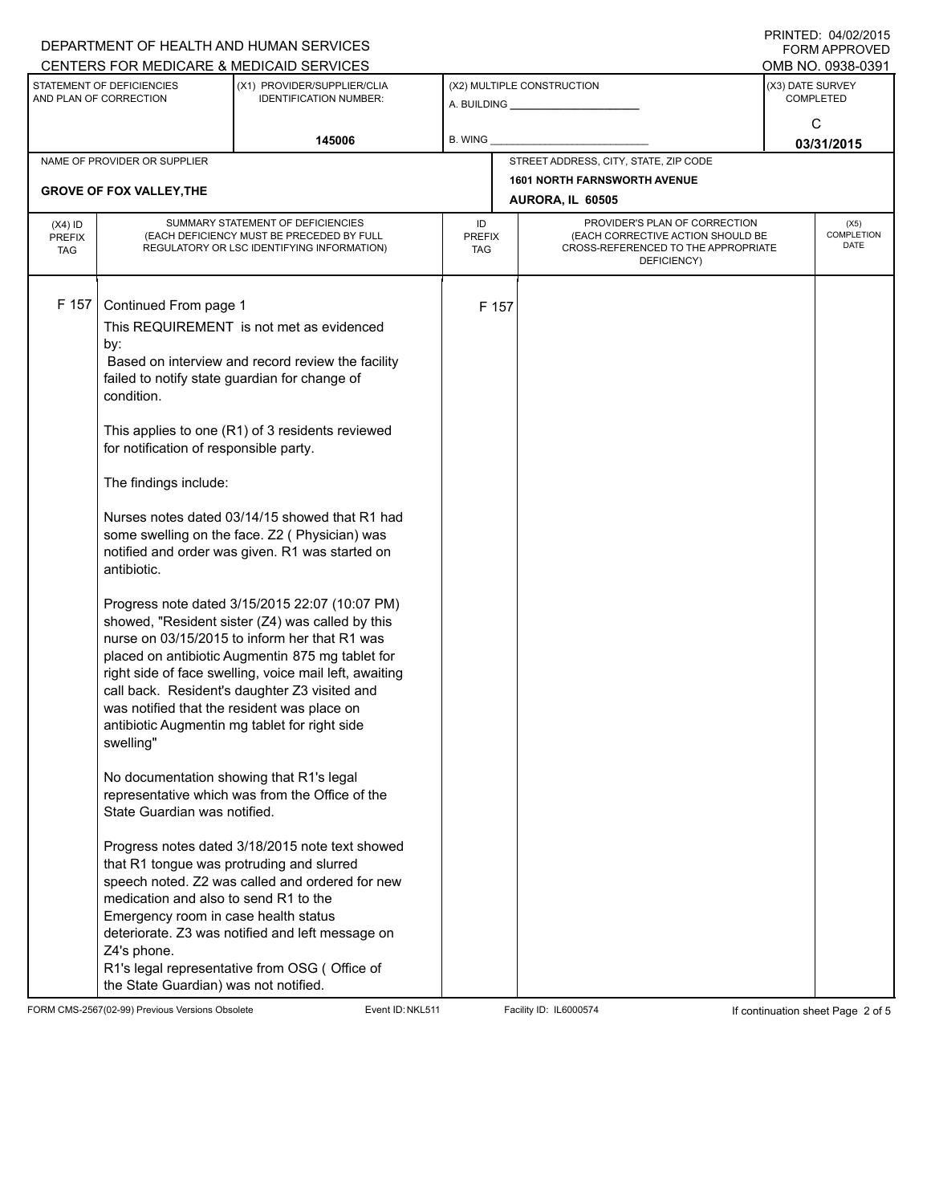|                                                     |                                             | DEPARTMENT OF HEALTH AND HUMAN SERVICES                                                 |                      |             |                                                                          |                 | 11111111127.0770272013<br>FORM APPROVED |  |
|-----------------------------------------------------|---------------------------------------------|-----------------------------------------------------------------------------------------|----------------------|-------------|--------------------------------------------------------------------------|-----------------|-----------------------------------------|--|
|                                                     |                                             | CENTERS FOR MEDICARE & MEDICAID SERVICES                                                |                      |             |                                                                          |                 | OMB NO. 0938-0391                       |  |
| STATEMENT OF DEFICIENCIES<br>AND PLAN OF CORRECTION |                                             | (X1) PROVIDER/SUPPLIER/CLIA<br><b>IDENTIFICATION NUMBER:</b>                            |                      |             | (X2) MULTIPLE CONSTRUCTION                                               |                 | (X3) DATE SURVEY<br><b>COMPLETED</b>    |  |
|                                                     |                                             |                                                                                         |                      |             |                                                                          |                 |                                         |  |
|                                                     |                                             | 145006                                                                                  | B. WING              |             |                                                                          | C<br>03/31/2015 |                                         |  |
|                                                     | NAME OF PROVIDER OR SUPPLIER                |                                                                                         |                      |             | STREET ADDRESS, CITY, STATE, ZIP CODE                                    |                 |                                         |  |
|                                                     |                                             |                                                                                         |                      |             | <b>1601 NORTH FARNSWORTH AVENUE</b>                                      |                 |                                         |  |
|                                                     | <b>GROVE OF FOX VALLEY, THE</b>             |                                                                                         |                      |             | AURORA, IL 60505                                                         |                 |                                         |  |
| $(X4)$ ID                                           | SUMMARY STATEMENT OF DEFICIENCIES           |                                                                                         |                      |             | PROVIDER'S PLAN OF CORRECTION                                            |                 | (X5)                                    |  |
| <b>PREFIX</b><br><b>TAG</b>                         |                                             | (EACH DEFICIENCY MUST BE PRECEDED BY FULL<br>REGULATORY OR LSC IDENTIFYING INFORMATION) | <b>PREFIX</b><br>TAG |             | (EACH CORRECTIVE ACTION SHOULD BE<br>CROSS-REFERENCED TO THE APPROPRIATE |                 | COMPLETION<br>DATE                      |  |
|                                                     |                                             |                                                                                         |                      | DEFICIENCY) |                                                                          |                 |                                         |  |
|                                                     |                                             |                                                                                         |                      |             |                                                                          |                 |                                         |  |
| F 157                                               | Continued From page 1                       |                                                                                         |                      | F 157       |                                                                          |                 |                                         |  |
|                                                     |                                             | This REQUIREMENT is not met as evidenced                                                |                      |             |                                                                          |                 |                                         |  |
|                                                     | by:                                         |                                                                                         |                      |             |                                                                          |                 |                                         |  |
|                                                     |                                             | Based on interview and record review the facility                                       |                      |             |                                                                          |                 |                                         |  |
|                                                     |                                             | failed to notify state guardian for change of                                           |                      |             |                                                                          |                 |                                         |  |
|                                                     | condition.                                  |                                                                                         |                      |             |                                                                          |                 |                                         |  |
|                                                     |                                             |                                                                                         |                      |             |                                                                          |                 |                                         |  |
|                                                     | for notification of responsible party.      | This applies to one (R1) of 3 residents reviewed                                        |                      |             |                                                                          |                 |                                         |  |
|                                                     |                                             |                                                                                         |                      |             |                                                                          |                 |                                         |  |
|                                                     | The findings include:                       |                                                                                         |                      |             |                                                                          |                 |                                         |  |
|                                                     |                                             | Nurses notes dated 03/14/15 showed that R1 had                                          |                      |             |                                                                          |                 |                                         |  |
|                                                     |                                             | some swelling on the face. Z2 (Physician) was                                           |                      |             |                                                                          |                 |                                         |  |
|                                                     |                                             | notified and order was given. R1 was started on                                         |                      |             |                                                                          |                 |                                         |  |
|                                                     | antibiotic.                                 |                                                                                         |                      |             |                                                                          |                 |                                         |  |
|                                                     |                                             | Progress note dated 3/15/2015 22:07 (10:07 PM)                                          |                      |             |                                                                          |                 |                                         |  |
|                                                     |                                             | showed, "Resident sister (Z4) was called by this                                        |                      |             |                                                                          |                 |                                         |  |
|                                                     |                                             | nurse on 03/15/2015 to inform her that R1 was                                           |                      |             |                                                                          |                 |                                         |  |
|                                                     |                                             | placed on antibiotic Augmentin 875 mg tablet for                                        |                      |             |                                                                          |                 |                                         |  |
|                                                     |                                             | right side of face swelling, voice mail left, awaiting                                  |                      |             |                                                                          |                 |                                         |  |
|                                                     |                                             | call back. Resident's daughter Z3 visited and                                           |                      |             |                                                                          |                 |                                         |  |
|                                                     | was notified that the resident was place on |                                                                                         |                      |             |                                                                          |                 |                                         |  |
|                                                     | swelling"                                   | antibiotic Augmentin mg tablet for right side                                           |                      |             |                                                                          |                 |                                         |  |
|                                                     |                                             |                                                                                         |                      |             |                                                                          |                 |                                         |  |
|                                                     | No documentation showing that R1's legal    |                                                                                         |                      |             |                                                                          |                 |                                         |  |
|                                                     |                                             | representative which was from the Office of the                                         |                      |             |                                                                          |                 |                                         |  |
|                                                     | State Guardian was notified.                |                                                                                         |                      |             |                                                                          |                 |                                         |  |
|                                                     |                                             |                                                                                         |                      |             |                                                                          |                 |                                         |  |
|                                                     | that R1 tongue was protruding and slurred   | Progress notes dated 3/18/2015 note text showed                                         |                      |             |                                                                          |                 |                                         |  |
|                                                     |                                             | speech noted. Z2 was called and ordered for new                                         |                      |             |                                                                          |                 |                                         |  |
|                                                     | medication and also to send R1 to the       |                                                                                         |                      |             |                                                                          |                 |                                         |  |
|                                                     | Emergency room in case health status        |                                                                                         |                      |             |                                                                          |                 |                                         |  |
|                                                     |                                             | deteriorate. Z3 was notified and left message on                                        |                      |             |                                                                          |                 |                                         |  |
|                                                     | Z4's phone.                                 |                                                                                         |                      |             |                                                                          |                 |                                         |  |
|                                                     | the State Guardian) was not notified.       | R1's legal representative from OSG (Office of                                           |                      |             |                                                                          |                 |                                         |  |

FORM CMS-2567(02-99) Previous Versions Obsolete Event ID:NKL511 Facility ID: IL6000574 If continuation sheet Page 2 of 5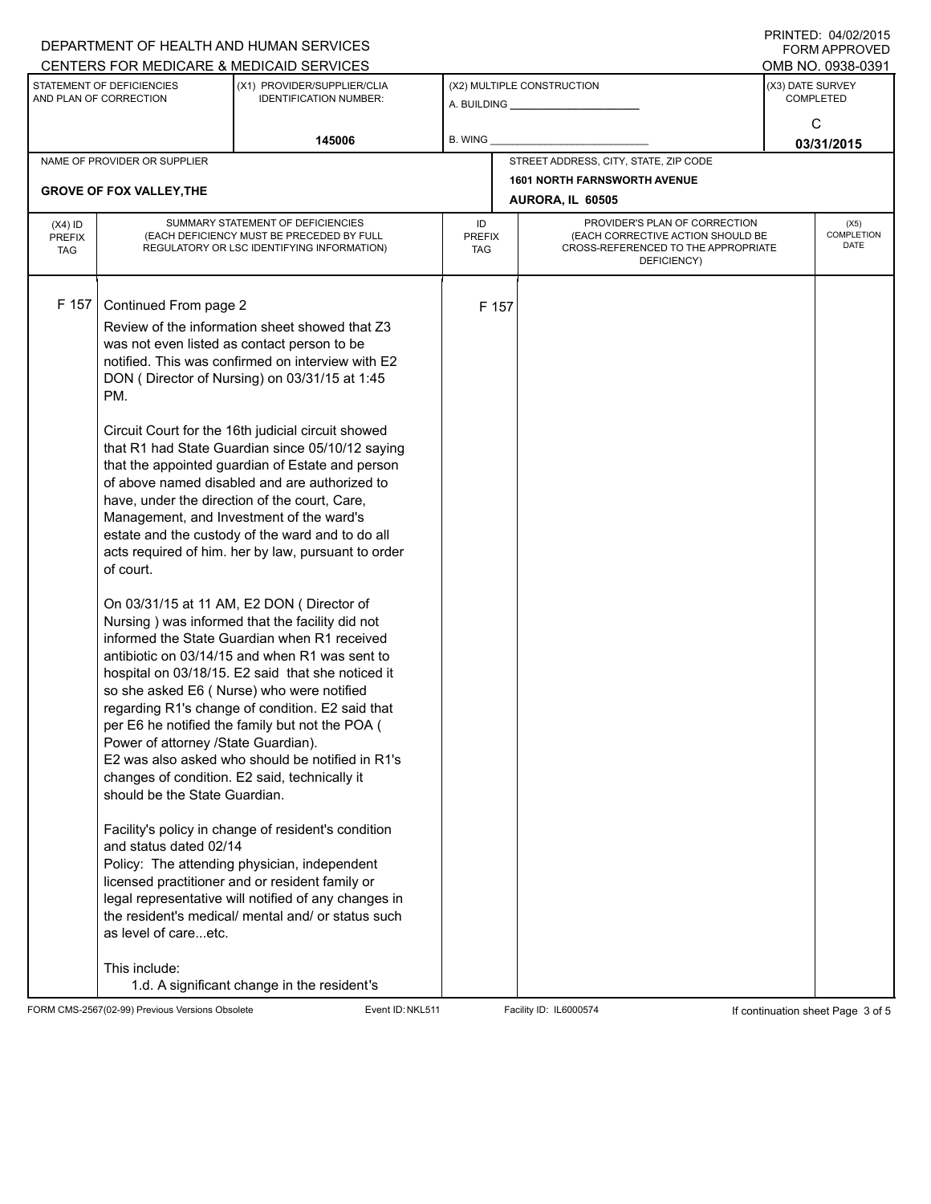|                                                     |                                                                                                                                                                                      | DEPARTMENT OF HEALTH AND HUMAN SERVICES                                                                                                                                                                                                                                                                                                                                                                                                                                                                                                                                                                                                                                                                                                                                                                                                                                                                                                                                                                                                                                                                                                                                                                                                                                                                                                                                                                            |                            |       |                                                                                                                          |                                      | I INITILLY. 07/04/4019<br><b>FORM APPROVED</b> |  |
|-----------------------------------------------------|--------------------------------------------------------------------------------------------------------------------------------------------------------------------------------------|--------------------------------------------------------------------------------------------------------------------------------------------------------------------------------------------------------------------------------------------------------------------------------------------------------------------------------------------------------------------------------------------------------------------------------------------------------------------------------------------------------------------------------------------------------------------------------------------------------------------------------------------------------------------------------------------------------------------------------------------------------------------------------------------------------------------------------------------------------------------------------------------------------------------------------------------------------------------------------------------------------------------------------------------------------------------------------------------------------------------------------------------------------------------------------------------------------------------------------------------------------------------------------------------------------------------------------------------------------------------------------------------------------------------|----------------------------|-------|--------------------------------------------------------------------------------------------------------------------------|--------------------------------------|------------------------------------------------|--|
|                                                     |                                                                                                                                                                                      | CENTERS FOR MEDICARE & MEDICAID SERVICES                                                                                                                                                                                                                                                                                                                                                                                                                                                                                                                                                                                                                                                                                                                                                                                                                                                                                                                                                                                                                                                                                                                                                                                                                                                                                                                                                                           |                            |       |                                                                                                                          |                                      | OMB NO. 0938-0391                              |  |
| STATEMENT OF DEFICIENCIES<br>AND PLAN OF CORRECTION |                                                                                                                                                                                      | (X1) PROVIDER/SUPPLIER/CLIA<br><b>IDENTIFICATION NUMBER:</b>                                                                                                                                                                                                                                                                                                                                                                                                                                                                                                                                                                                                                                                                                                                                                                                                                                                                                                                                                                                                                                                                                                                                                                                                                                                                                                                                                       | (X2) MULTIPLE CONSTRUCTION |       |                                                                                                                          | (X3) DATE SURVEY<br><b>COMPLETED</b> |                                                |  |
|                                                     |                                                                                                                                                                                      | 145006                                                                                                                                                                                                                                                                                                                                                                                                                                                                                                                                                                                                                                                                                                                                                                                                                                                                                                                                                                                                                                                                                                                                                                                                                                                                                                                                                                                                             | B. WING                    |       |                                                                                                                          | C<br>03/31/2015                      |                                                |  |
|                                                     | NAME OF PROVIDER OR SUPPLIER                                                                                                                                                         |                                                                                                                                                                                                                                                                                                                                                                                                                                                                                                                                                                                                                                                                                                                                                                                                                                                                                                                                                                                                                                                                                                                                                                                                                                                                                                                                                                                                                    |                            |       | STREET ADDRESS, CITY, STATE, ZIP CODE                                                                                    |                                      |                                                |  |
|                                                     |                                                                                                                                                                                      |                                                                                                                                                                                                                                                                                                                                                                                                                                                                                                                                                                                                                                                                                                                                                                                                                                                                                                                                                                                                                                                                                                                                                                                                                                                                                                                                                                                                                    |                            |       | <b>1601 NORTH FARNSWORTH AVENUE</b>                                                                                      |                                      |                                                |  |
|                                                     | <b>GROVE OF FOX VALLEY, THE</b>                                                                                                                                                      |                                                                                                                                                                                                                                                                                                                                                                                                                                                                                                                                                                                                                                                                                                                                                                                                                                                                                                                                                                                                                                                                                                                                                                                                                                                                                                                                                                                                                    |                            |       | AURORA, IL 60505                                                                                                         |                                      |                                                |  |
| $(X4)$ ID<br><b>PREFIX</b><br><b>TAG</b>            | SUMMARY STATEMENT OF DEFICIENCIES<br>(EACH DEFICIENCY MUST BE PRECEDED BY FULL<br>REGULATORY OR LSC IDENTIFYING INFORMATION)                                                         |                                                                                                                                                                                                                                                                                                                                                                                                                                                                                                                                                                                                                                                                                                                                                                                                                                                                                                                                                                                                                                                                                                                                                                                                                                                                                                                                                                                                                    | ID<br><b>PREFIX</b><br>TAG |       | PROVIDER'S PLAN OF CORRECTION<br>(EACH CORRECTIVE ACTION SHOULD BE<br>CROSS-REFERENCED TO THE APPROPRIATE<br>DEFICIENCY) |                                      | (X5)<br>COMPLETION<br>DATE                     |  |
| F 157                                               | Continued From page 2<br>PM.<br>of court.<br>Power of attorney /State Guardian).<br>should be the State Guardian.<br>and status dated 02/14<br>as level of careetc.<br>This include: | Review of the information sheet showed that Z3<br>was not even listed as contact person to be<br>notified. This was confirmed on interview with E2<br>DON (Director of Nursing) on 03/31/15 at 1:45<br>Circuit Court for the 16th judicial circuit showed<br>that R1 had State Guardian since 05/10/12 saying<br>that the appointed guardian of Estate and person<br>of above named disabled and are authorized to<br>have, under the direction of the court, Care,<br>Management, and Investment of the ward's<br>estate and the custody of the ward and to do all<br>acts required of him. her by law, pursuant to order<br>On 03/31/15 at 11 AM, E2 DON (Director of<br>Nursing) was informed that the facility did not<br>informed the State Guardian when R1 received<br>antibiotic on 03/14/15 and when R1 was sent to<br>hospital on 03/18/15. E2 said that she noticed it<br>so she asked E6 (Nurse) who were notified<br>regarding R1's change of condition. E2 said that<br>per E6 he notified the family but not the POA (<br>E2 was also asked who should be notified in R1's<br>changes of condition. E2 said, technically it<br>Facility's policy in change of resident's condition<br>Policy: The attending physician, independent<br>licensed practitioner and or resident family or<br>legal representative will notified of any changes in<br>the resident's medical/ mental and/ or status such |                            | F 157 |                                                                                                                          |                                      |                                                |  |
|                                                     |                                                                                                                                                                                      | 1.d. A significant change in the resident's                                                                                                                                                                                                                                                                                                                                                                                                                                                                                                                                                                                                                                                                                                                                                                                                                                                                                                                                                                                                                                                                                                                                                                                                                                                                                                                                                                        |                            |       |                                                                                                                          |                                      |                                                |  |

FORM CMS-2567(02-99) Previous Versions Obsolete Event ID:NKL511 Facility ID: IL6000574 If continuation sheet Page 3 of 5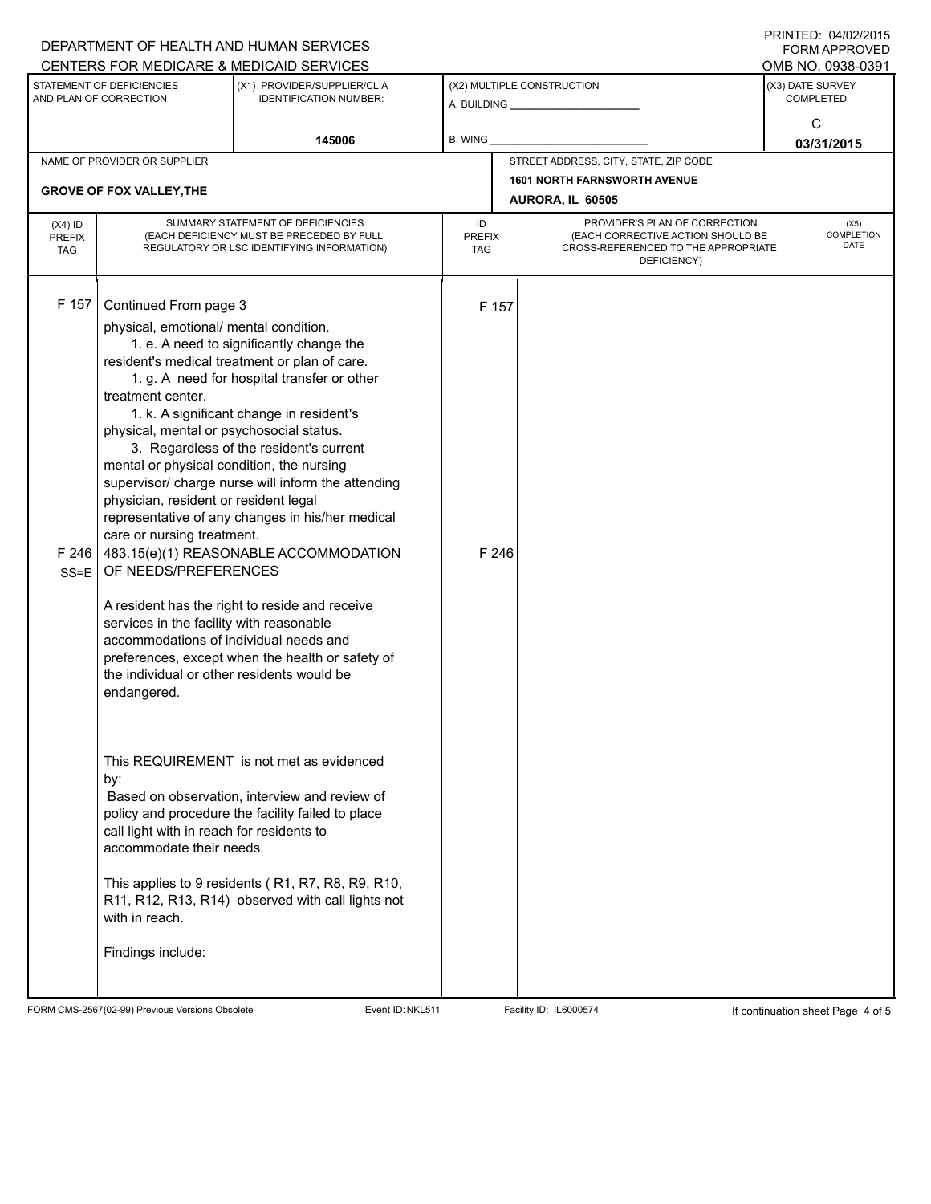|                            |                                                                                                              | DEPARTMENT OF HEALTH AND HUMAN SERVICES                                 |                     |                            |                                                                    |                  | 1111111111770710212010<br><b>FORM APPROVED</b><br>OMB NO. 0938-0391 |  |
|----------------------------|--------------------------------------------------------------------------------------------------------------|-------------------------------------------------------------------------|---------------------|----------------------------|--------------------------------------------------------------------|------------------|---------------------------------------------------------------------|--|
|                            | STATEMENT OF DEFICIENCIES                                                                                    | CENTERS FOR MEDICARE & MEDICAID SERVICES<br>(X1) PROVIDER/SUPPLIER/CLIA |                     | (X2) MULTIPLE CONSTRUCTION | (X3) DATE SURVEY                                                   |                  |                                                                     |  |
| AND PLAN OF CORRECTION     |                                                                                                              | <b>IDENTIFICATION NUMBER:</b>                                           |                     |                            |                                                                    | <b>COMPLETED</b> |                                                                     |  |
|                            |                                                                                                              |                                                                         |                     |                            |                                                                    | C                |                                                                     |  |
| 145006                     |                                                                                                              | B. WING                                                                 |                     |                            |                                                                    | 03/31/2015       |                                                                     |  |
|                            | NAME OF PROVIDER OR SUPPLIER                                                                                 |                                                                         |                     |                            | STREET ADDRESS, CITY, STATE, ZIP CODE                              |                  |                                                                     |  |
|                            | <b>GROVE OF FOX VALLEY, THE</b>                                                                              |                                                                         |                     |                            | <b>1601 NORTH FARNSWORTH AVENUE</b>                                |                  |                                                                     |  |
|                            |                                                                                                              |                                                                         |                     |                            | AURORA, IL 60505                                                   |                  |                                                                     |  |
| $(X4)$ ID<br><b>PREFIX</b> | SUMMARY STATEMENT OF DEFICIENCIES<br>(EACH DEFICIENCY MUST BE PRECEDED BY FULL                               |                                                                         | ID<br><b>PREFIX</b> |                            | PROVIDER'S PLAN OF CORRECTION<br>(EACH CORRECTIVE ACTION SHOULD BE |                  | (X5)<br>COMPLETION                                                  |  |
| <b>TAG</b>                 |                                                                                                              | REGULATORY OR LSC IDENTIFYING INFORMATION)                              |                     |                            | CROSS-REFERENCED TO THE APPROPRIATE                                |                  | DATE                                                                |  |
|                            |                                                                                                              |                                                                         |                     |                            | DEFICIENCY)                                                        |                  |                                                                     |  |
| F 157                      |                                                                                                              |                                                                         |                     |                            |                                                                    |                  |                                                                     |  |
|                            | Continued From page 3                                                                                        |                                                                         |                     | F 157                      |                                                                    |                  |                                                                     |  |
|                            | physical, emotional/ mental condition.                                                                       | 1. e. A need to significantly change the                                |                     |                            |                                                                    |                  |                                                                     |  |
|                            |                                                                                                              | resident's medical treatment or plan of care.                           |                     |                            |                                                                    |                  |                                                                     |  |
|                            | 1. g. A need for hospital transfer or other<br>treatment center.<br>1. k. A significant change in resident's |                                                                         |                     |                            |                                                                    |                  |                                                                     |  |
|                            |                                                                                                              |                                                                         |                     |                            |                                                                    |                  |                                                                     |  |
|                            | physical, mental or psychosocial status.                                                                     |                                                                         |                     |                            |                                                                    |                  |                                                                     |  |
|                            | 3. Regardless of the resident's current                                                                      |                                                                         |                     |                            |                                                                    |                  |                                                                     |  |
|                            | mental or physical condition, the nursing                                                                    |                                                                         |                     |                            |                                                                    |                  |                                                                     |  |
|                            | supervisor/ charge nurse will inform the attending                                                           |                                                                         |                     |                            |                                                                    |                  |                                                                     |  |
|                            | physician, resident or resident legal                                                                        | representative of any changes in his/her medical                        |                     |                            |                                                                    |                  |                                                                     |  |
|                            | care or nursing treatment.                                                                                   |                                                                         |                     |                            |                                                                    |                  |                                                                     |  |
| F246                       |                                                                                                              | 483.15(e)(1) REASONABLE ACCOMMODATION                                   |                     | F 246                      |                                                                    |                  |                                                                     |  |
| $SS = E$                   | OF NEEDS/PREFERENCES                                                                                         |                                                                         |                     |                            |                                                                    |                  |                                                                     |  |
|                            |                                                                                                              | A resident has the right to reside and receive                          |                     |                            |                                                                    |                  |                                                                     |  |
|                            | services in the facility with reasonable                                                                     |                                                                         |                     |                            |                                                                    |                  |                                                                     |  |
|                            | accommodations of individual needs and                                                                       |                                                                         |                     |                            |                                                                    |                  |                                                                     |  |
|                            |                                                                                                              | preferences, except when the health or safety of                        |                     |                            |                                                                    |                  |                                                                     |  |
|                            | the individual or other residents would be<br>endangered.                                                    |                                                                         |                     |                            |                                                                    |                  |                                                                     |  |
|                            |                                                                                                              |                                                                         |                     |                            |                                                                    |                  |                                                                     |  |
|                            |                                                                                                              |                                                                         |                     |                            |                                                                    |                  |                                                                     |  |
|                            |                                                                                                              |                                                                         |                     |                            |                                                                    |                  |                                                                     |  |
|                            | by:                                                                                                          | This REQUIREMENT is not met as evidenced                                |                     |                            |                                                                    |                  |                                                                     |  |
|                            |                                                                                                              | Based on observation, interview and review of                           |                     |                            |                                                                    |                  |                                                                     |  |
|                            |                                                                                                              | policy and procedure the facility failed to place                       |                     |                            |                                                                    |                  |                                                                     |  |
|                            | call light with in reach for residents to                                                                    |                                                                         |                     |                            |                                                                    |                  |                                                                     |  |
|                            | accommodate their needs.                                                                                     |                                                                         |                     |                            |                                                                    |                  |                                                                     |  |
|                            |                                                                                                              | This applies to 9 residents (R1, R7, R8, R9, R10,                       |                     |                            |                                                                    |                  |                                                                     |  |
|                            |                                                                                                              | R11, R12, R13, R14) observed with call lights not                       |                     |                            |                                                                    |                  |                                                                     |  |
|                            | with in reach.                                                                                               |                                                                         |                     |                            |                                                                    |                  |                                                                     |  |
|                            | Findings include:                                                                                            |                                                                         |                     |                            |                                                                    |                  |                                                                     |  |
|                            |                                                                                                              |                                                                         |                     |                            |                                                                    |                  |                                                                     |  |
|                            |                                                                                                              |                                                                         |                     |                            |                                                                    |                  |                                                                     |  |

FORM CMS-2567(02-99) Previous Versions Obsolete Event ID:NKL511 Facility ID: IL6000574 If continuation sheet Page 4 of 5